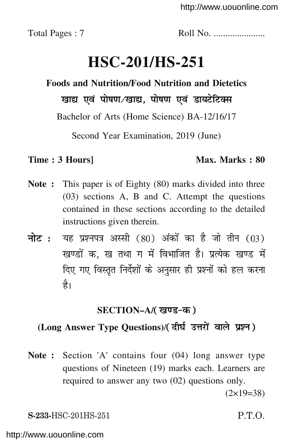Total Pages : 7 Roll No. ......................

# **HSC-201/HS-251**

# **Foods and Nutrition/Food Nutrition and Dietetics** खाद्य एवं पोषण/खाद्य, पोषण एवं डायटेटिक्स

Bachelor of Arts (Home Science) BA-12/16/17

Second Year Examination, 2019 (June)

### **Time : 3 Hours] Max. Marks : 80**

- **Note :** This paper is of Eighty (80) marks divided into three (03) sections A, B and C. Attempt the questions contained in these sections according to the detailed instructions given therein.
- **नोट:** यह प्रश्नपत्र अस्सी (80) अंकों का है जो तीन (03) खण्डों क. ख तथा ग में विभाजित है। प्रत्येक खण्ड में दिए गए विस्तृत निर्देशों के अनुसार ही प्रश्नों को हल करना है।

## **SECTION–A/**

## **(Long Answer Type Questions)**/

**Note :** Section 'A' contains four (04) long answer type questions of Nineteen (19) marks each. Learners are required to answer any two (02) questions only.  $(2\times19=38)$ 

**S-233-**HSC-201HS-251 P.T.O. **HSC-201/HS-251 [P.T.O.**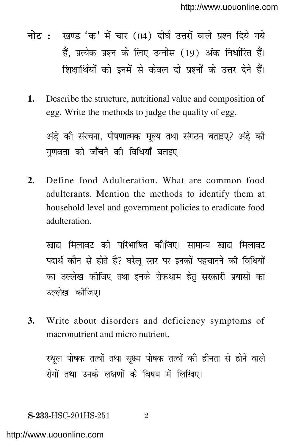- नोट: खण्ड 'क' में चार (04) दीर्घ उत्तरों वाले प्रश्न दिये गये हैं, प्रत्येक प्रश्न के लिए उन्नीस (19) अंक निर्धारित हैं। शिक्षार्थियों को इनमें से केवल दो प्रश्नों के उत्तर देने हैं।
- **1.** Describe the structure, nutritional value and composition of egg. Write the methods to judge the quality of egg.

अंडे़ की संरचना, पोषणात्मक मूल्य तथा संगठन बताइए? अंडे़ की गुणवत्ता को जाँचने की विधियाँ बताइए।

**2.** Define food Adulteration. What are common food adulterants. Mention the methods to identify them at household level and government policies to eradicate food adulteration.

खाद्य मिलावट को परिभाषित कोजिए। सामान्य खाद्य मिलावट पदार्थ कौन से होते है? घरेलू स्तर पर इनकों पहचानने की विधियों का उल्लेख कीजिए तथा इनके रोकथाम हेत सरकारी प्रयासों का उल्लेख कीजिए।

**3.** Write about disorders and deficiency symptoms of macronutrient and micro nutrient.

स्थूल पोषक तत्वों तथा सूक्ष्म पोषक तत्वों की हीनता से होने वाले रोगों तथा उनके लक्षणों के विषय में लिखिए।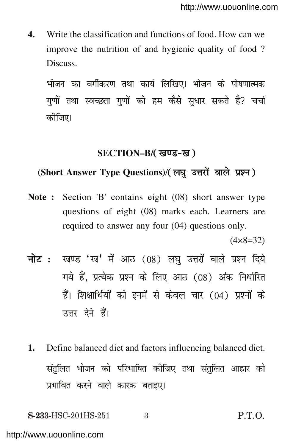**4.** Write the classification and functions of food. How can we improve the nutrition of and hygienic quality of food ? Discuss.

भोजन का वर्गीकरण तथा कार्य लिखिए। भोजन के पोषणात्मक गणों तथा स्वच्छता गणों को हम कैसे सुधार सकते है? चर्चा कोजिए।

#### **SECTION–B/**

### **(Short Answer Type Questions)**/

**Note :** Section 'B' contains eight (08) short answer type questions of eight (08) marks each. Learners are required to answer any four (04) questions only.

 $(4 \times 8 = 32)$ 

- नोट: खण्ड 'ख' में आठ (08) लघु उत्तरों वाले प्रश्न दिये गये हैं, प्रत्येक प्रश्न के लिए आठ (08) अंक निर्धारित हैं। शिक्षार्थियों को इनमें से केवल चार (04) प्रश्नों के उत्तर देने हैं।
- **1.** Define balanced diet and factors influencing balanced diet. संतुलित भोजन को परिभाषित कीजिए तथा संतुलित आहार को प्रभावित करने वाले कारक बताइए।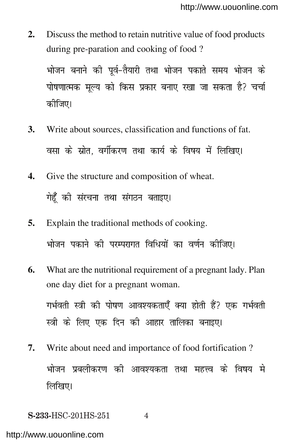**2.** Discuss the method to retain nutritive value of food products during pre-paration and cooking of food ?

भोजन बनाने की पूर्व–तैयारी तथा भोजन पकाते समय भोजन के पोषणात्मक मूल्य को किस प्रकार बनाए रखा जा सकता है? चर्चा कोजिए।

- **3.** Write about sources, classification and functions of fat. वसा के स्रोत, वर्गीकरण तथा कार्य के विषय में लिखिए।
- **4.** Give the structure and composition of wheat. गेहूँ की संरचना तथा संगठन बताइए।
- **5.** Explain the traditional methods of cooking. भोजन पकाने की परम्परागत विधियों का वर्णन कीजिए।
- **6.** What are the nutritional requirement of a pregnant lady. Plan one day diet for a pregnant woman. गर्भवती स्त्री की पोषण आवश्यकताएँ क्या होती हैं? एक गर्भवती स्त्री के लिए एक दिन की आहार तालिका बनाइए।
- **7.** Write about need and importance of food fortification ? भोजन प्रबलीकरण की आवश्यकता तथा महत्त्व के विषय मे लिखिए।

**S-233-HSC-201HS-251** 4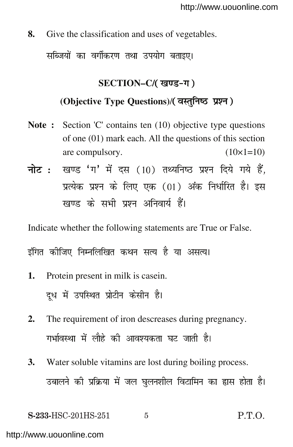**8.** Give the classification and uses of vegetables.

सब्जियों का वर्गीकरण तथा उपयोग बताइए।

# **SECTION–C/**

**(Objective Type Questions)**/

- **Note :** Section 'C' contains ten (10) objective type questions of one (01) mark each. All the questions of this section are compulsory.  $(10\times1=10)$
- नोट: खण्ड 'ग' में दस (10) तथ्यनिष्ठ प्रश्न दिये गये हैं, प्रत्येक प्रश्न के लिए एक (01) अंक निर्धारित है। इस खण्ड के सभी प्रश्न अनिवार्य हैं।

Indicate whether the following statements are True or False.

इंगित कीजिए निम्नलिखित कथन सत्य है या असत्य।

- **1.** Protein present in milk is casein. दूध में उपस्थित प्रोटीन केसीन है।
- **2.** The requirement of iron descreases during pregnancy. गर्भावस्था में लौहे की आवश्यकता घट जाती है।
- **3.** Water soluble vitamins are lost during boiling process. उबालने की प्रक्रिया में जल घुलनशील विटामिन का ह्रास होता है।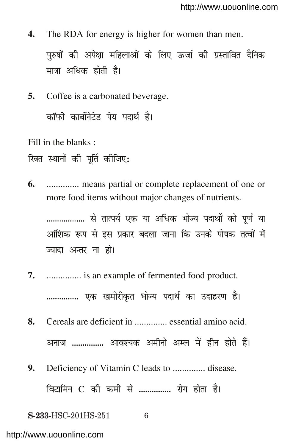- **4.** The RDA for energy is higher for women than men. पुरुषों की अपेक्षा महिलाओं के लिए ऊर्जा की प्रस्तावित दैनिक मात्रा अधिक होती है।
- **5.** Coffee is a carbonated beverage. कॉफी कार्बोनेटेड पेय पदार्थ है।

Fill in the blanks :

रिक्त स्थानों की पूर्ति कीजिए:

**6.** .............. means partial or complete replacement of one or more food items without major changes of nutrients.

.................. से तात्पर्य एक या अधिक भोज्य पदार्थों को पूर्ण या आंशिक रूप से इस प्रकार बदला जाना कि उनके पोषक तत्वों में ज्यादा अन्तर ना हो।

- **7.** ............... is an example of fermented food product. ............... एक खमीरीकृत भोज्य पदार्थ का उदाहरण है।
- **8.** Cereals are deficient in .............. essential amino acid. अनाज ............... आवश्यक अमीनो अम्ल में हीन होते हैं।
- **9.** Deficiency of Vitamin C leads to .............. disease. विटामिन C की कमी से ............... रोग होता है।

**S-233-HSC-201HS-251** 6